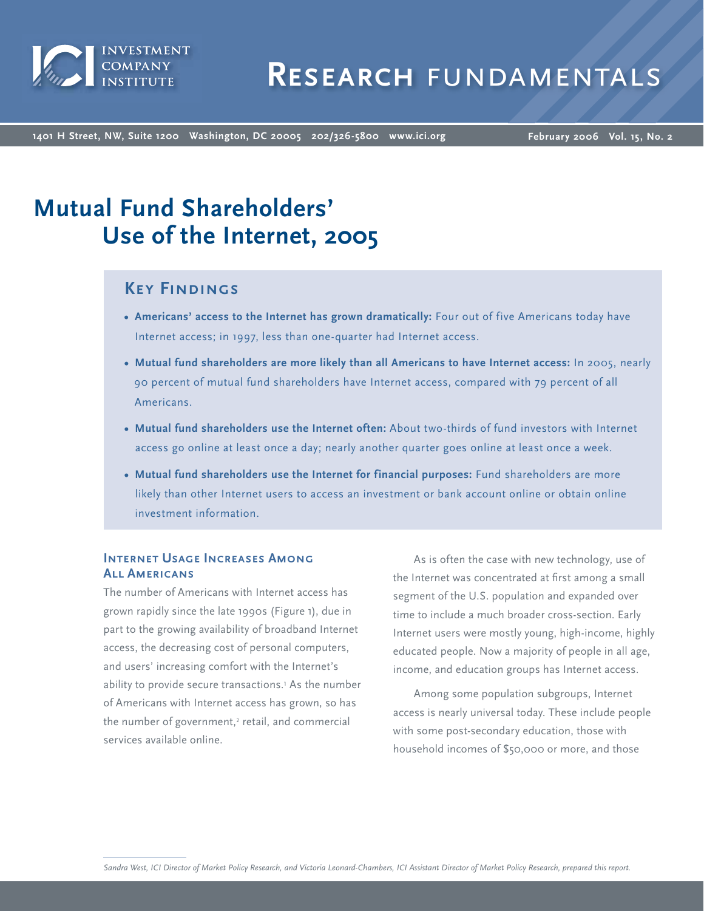

**1401 H Street, NW, Suite 1200 Washington, DC 20005 202/326-5800 [www.ici.org](http://www.ici.org/)**

**February 2006 Vol. 15, No. 2**

# **Mutual Fund Shareholders' Use of the Internet, 2005**

# **Key Findings**

- **Americans' access to the Internet has grown dramatically:** Four out of five Americans today have **•** Internet access; in 1997, less than one-quarter had Internet access.
- **Mutual fund shareholders are more likely than all Americans to have Internet access:** In 2005, nearly **•** 90 percent of mutual fund shareholders have Internet access, compared with 79 percent of all Americans.
- **Mutual fund shareholders use the Internet often:** About two-thirds of fund investors with Internet **•** access go online at least once a day; nearly another quarter goes online at least once a week.
- **Mutual fund shareholders use the Internet for financial purposes:** Fund shareholders are more **•**likely than other Internet users to access an investment or bank account online or obtain online investment information.

## **INTERNET USAGE INCREASES AMONG All Americans**

The number of Americans with Internet access has grown rapidly since the late 1990s (Figure 1), due in part to the growing availability of broadband Internet access, the decreasing cost of personal computers, and users' increasing comfort with the Internet's ability to provide secure transactions.<sup>1</sup> As the number of Americans with Internet access has grown, so has the number of government,<sup>2</sup> retail, and commercial services available online.

As is often the case with new technology, use of the Internet was concentrated at first among a small segment of the U.S. population and expanded over time to include a much broader cross-section. Early Internet users were mostly young, high-income, highly educated people. Now a majority of people in all age, income, and education groups has Internet access.

Among some population subgroups, Internet access is nearly universal today. These include people with some post-secondary education, those with household incomes of \$50,000 or more, and those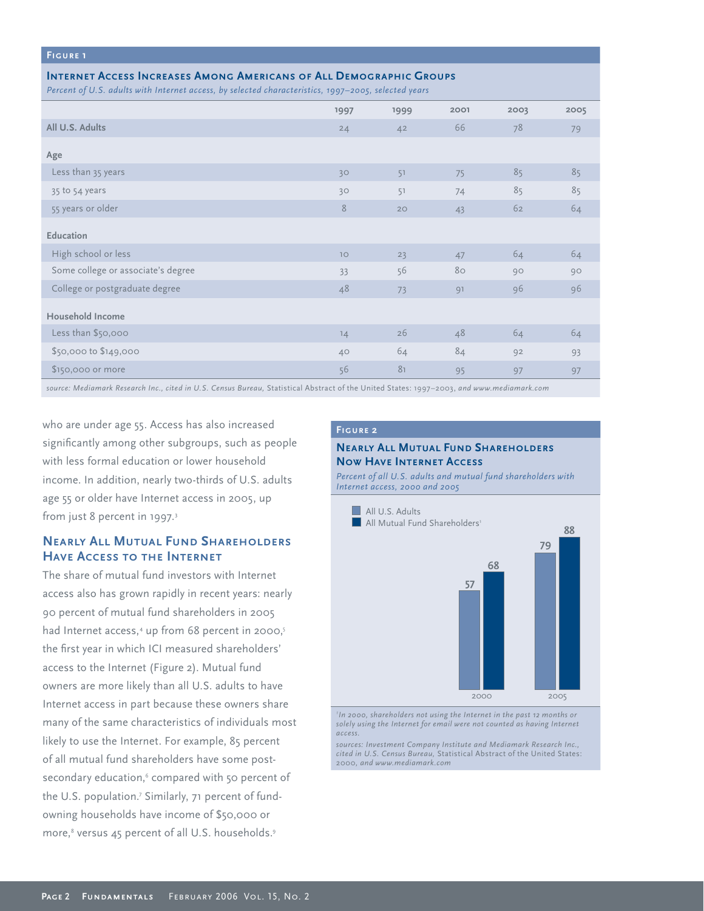#### **Figure 1**

#### **Internet Access Increases Among Americans of All Demographic Groups**

*Percent of U.S. adults with Internet access, by selected characteristics, 1997–2005, selected years*

| <u>J</u><br>$\sim$ $\sim$          | $\sim$ $\sim$ $\sim$ $\sim$ |                |      |      |      |
|------------------------------------|-----------------------------|----------------|------|------|------|
|                                    | 1997                        | 1999           | 2001 | 2003 | 2005 |
| All U.S. Adults                    | 24                          | 4 <sup>2</sup> | 66   | 78   | 79   |
| Age                                |                             |                |      |      |      |
| Less than 35 years                 | 30                          | 51             | 75   | 85   | 85   |
| 35 to 54 years                     | 30                          | 51             | 74   | 85   | 85   |
| 55 years or older                  | 8                           | 20             | 43   | 62   | 64   |
| Education                          |                             |                |      |      |      |
| High school or less                | $10$                        | 23             | 47   | 64   | 64   |
| Some college or associate's degree | 33                          | 56             | 80   | 90   | 90   |
| College or postgraduate degree     | 48                          | 73             | 91   | 96   | 96   |
| <b>Household Income</b>            |                             |                |      |      |      |
| Less than \$50,000                 | 14                          | 26             | 48   | 64   | 64   |
| \$50,000 to \$149,000              | 40                          | 64             | 84   | 92   | 93   |
| \$150,000 or more                  | 56                          | 81             | 95   | 97   | 97   |
|                                    |                             |                |      |      |      |

*source: Mediamark Research Inc., cited in U.S. Census Bureau,* Statistical Abstract of the United States: 1997–2003, *and www.mediamark.com* 

who are under age 55. Access has also increased significantly among other subgroups, such as people with less formal education or lower household income. In addition, nearly two-thirds of U.S. adults age 55 or older have Internet access in 2005, up from just 8 percent in 1997.<sup>3</sup>

## **Nearly All Mutual Fund Shareholders Have Access to the Internet**

The share of mutual fund investors with Internet access also has grown rapidly in recent years: nearly 90 percent of mutual fund shareholders in 2005 had Internet access,<sup>4</sup> up from 68 percent in 2000,<sup>5</sup> the first year in which ICI measured shareholders' access to the Internet (Figure 2). Mutual fund owners are more likely than all U.S. adults to have Internet access in part because these owners share many of the same characteristics of individuals most likely to use the Internet. For example, 85 percent of all mutual fund shareholders have some postsecondary education,<sup>6</sup> compared with 50 percent of the U.S. population.7 Similarly, 71 percent of fundowning households have income of \$50,000 or more,<sup>8</sup> versus 45 percent of all U.S. households.<sup>9</sup>

#### **Figure 2**

#### **Nearly All Mutual Fund Shareholders Now Have Internet Access**

*Percent of all U.S. adults and mutual fund shareholders with Internet access, 2000 and 2005*



<sup>1</sup>In 2000, shareholders not using the Internet in the past 12 months or *solely using the Internet for email were not counted as having Internet access.*

*sources: Investment Company Institute and Mediamark Research Inc., cited in U.S. Census Bureau,* Statistical Abstract of the United States: 2000*, and www.mediamark.com*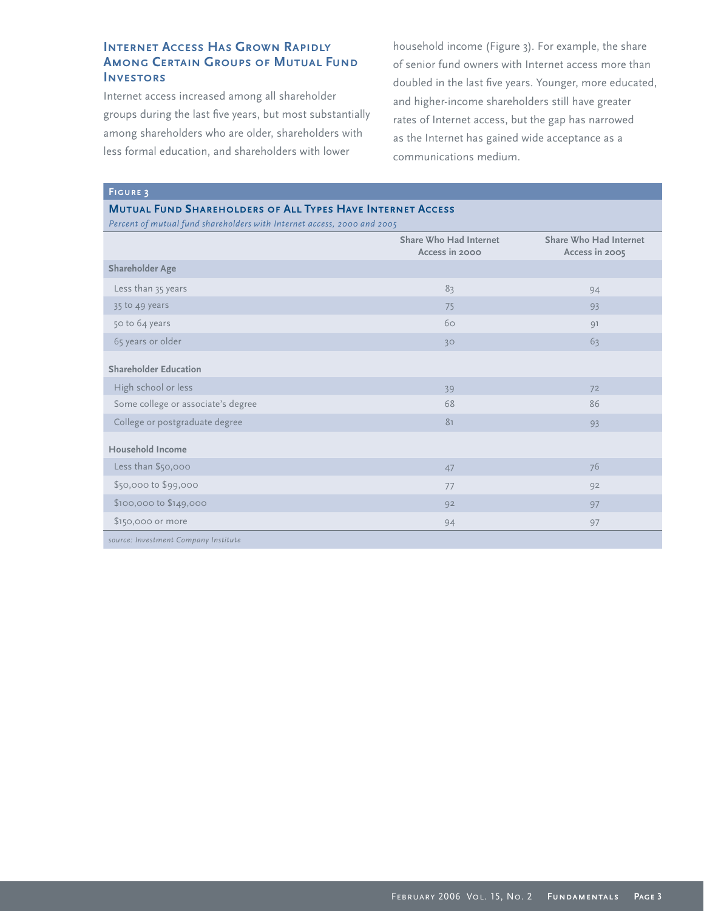## **INTERNET ACCESS HAS GROWN RAPIDLY AMONG CERTAIN GROUPS OF MUTUAL FUND Investors**

Internet access increased among all shareholder groups during the last five years, but most substantially among shareholders who are older, shareholders with less formal education, and shareholders with lower

household income (Figure 3). For example, the share of senior fund owners with Internet access more than doubled in the last five years. Younger, more educated, and higher-income shareholders still have greater rates of Internet access, but the gap has narrowed as the Internet has gained wide acceptance as a communications medium.

**Figure 3**

#### **Mutual Fund Shareholders of All Types Have Internet Access**

*Percent of mutual fund shareholders with Internet access, 2000 and 2005*

|                                      | Share Who Had Internet<br>Access in 2000 | Share Who Had Internet<br>Access in 2005 |
|--------------------------------------|------------------------------------------|------------------------------------------|
| <b>Shareholder Age</b>               |                                          |                                          |
| Less than 35 years                   | 83                                       | 94                                       |
| 35 to 49 years                       | 75                                       | 93                                       |
| 50 to 64 years                       | 60                                       | 91                                       |
| 65 years or older                    | 30                                       | 63                                       |
| <b>Shareholder Education</b>         |                                          |                                          |
| High school or less                  | 39                                       | 72                                       |
| Some college or associate's degree   | 68                                       | 86                                       |
| College or postgraduate degree       | 81                                       | 93                                       |
| Household Income                     |                                          |                                          |
| Less than \$50,000                   | 47                                       | 76                                       |
| \$50,000 to \$99,000                 | 77                                       | 92                                       |
| \$100,000 to \$149,000               | 92                                       | 97                                       |
| \$150,000 or more                    | 94                                       | 97                                       |
| source: Investment Company Institute |                                          |                                          |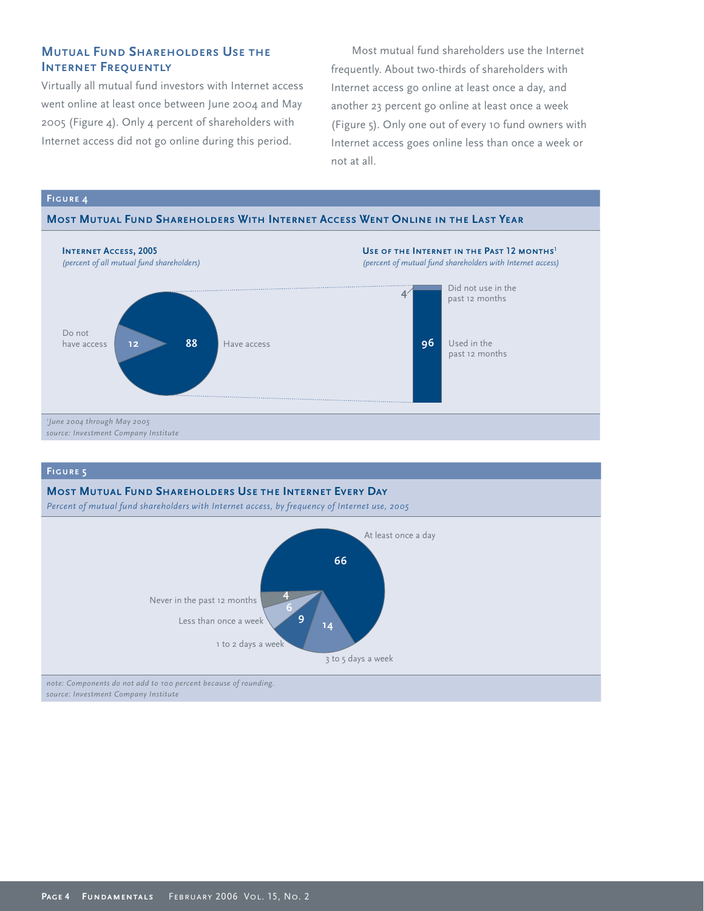## **Mutual Fund Shareholders Use the INTERNET FREQUENTLY**

Virtually all mutual fund investors with Internet access went online at least once between June 2004 and May 2005 (Figure 4). Only 4 percent of shareholders with Internet access did not go online during this period.

Most mutual fund shareholders use the Internet frequently. About two-thirds of shareholders with Internet access go online at least once a day, and another 23 percent go online at least once a week (Figure 5). Only one out of every 10 fund owners with Internet access goes online less than once a week or not at all.





#### **Figure 5**

## **Most Mutual Fund Shareholders Use the Internet Every Day** *Percent of mutual fund shareholders with Internet access, by frequency of Internet use, 2005* Never in the past 12 months Less than once a week 1 to 2 days a week 3 to 5 days a week At least once a day **66 4 6 <sup>9</sup> <sup>14</sup>**

*note: Components do not add to 100 percent because of rounding. source: Investment Company Institute*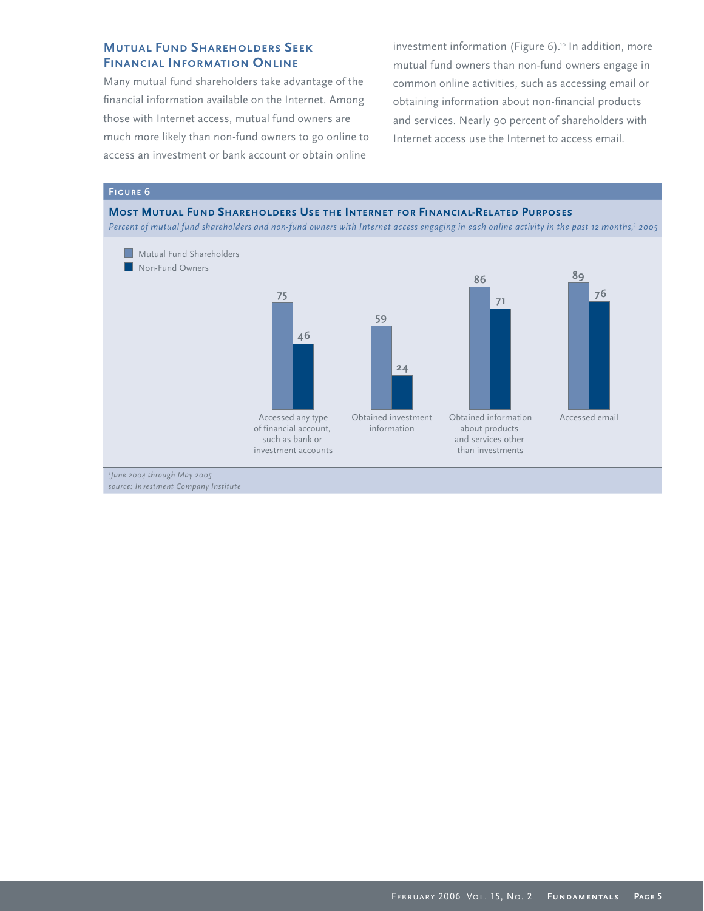## **Mutual Fund Shareholders Seek Financial Information Online**

Many mutual fund shareholders take advantage of the financial information available on the Internet. Among those with Internet access, mutual fund owners are much more likely than non-fund owners to go online to access an investment or bank account or obtain online

investment information (Figure 6).<sup>10</sup> In addition, more mutual fund owners than non-fund owners engage in common online activities, such as accessing email or obtaining information about non-financial products and services. Nearly 90 percent of shareholders with Internet access use the Internet to access email.

#### **Figure 6**

#### **Most Mutual Fund Shareholders Use the Internet for Financial-Related Purposes**

*Percent of mutual fund shareholders and non-fund owners with Internet access engaging in each online activity in the past 12 months,<sup>1</sup> 2005*



*<sup>1</sup> June 2004 through May 2005*

*source: Investment Company Institute*